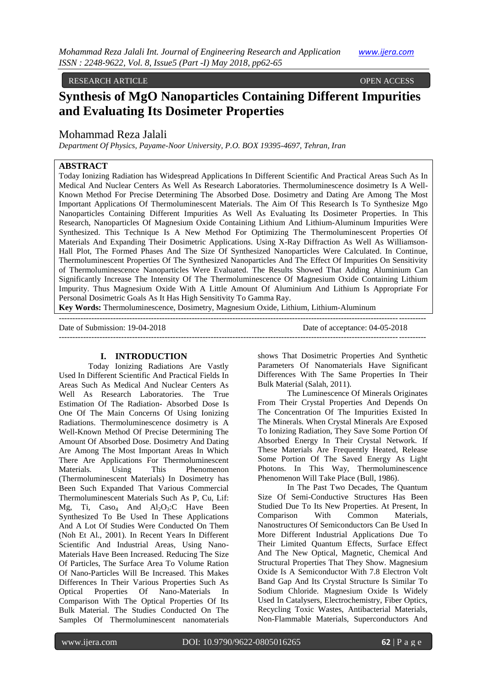#### RESEARCH ARTICLE OPEN ACCESS

# **Synthesis of MgO Nanoparticles Containing Different Impurities and Evaluating Its Dosimeter Properties**

# Mohammad Reza Jalali

*Department Of Physics, Payame-Noor University, P.O. BOX 19395-4697, Tehran, Iran*

# **ABSTRACT**

Today Ionizing Radiation has Widespread Applications In Different Scientific And Practical Areas Such As In Medical And Nuclear Centers As Well As Research Laboratories. Thermoluminescence dosimetry Is A Well-Known Method For Precise Determining The Absorbed Dose. Dosimetry and Dating Are Among The Most Important Applications Of Thermoluminescent Materials. The Aim Of This Research Is To Synthesize Mgo Nanoparticles Containing Different Impurities As Well As Evaluating Its Dosimeter Properties. In This Research, Nanoparticles Of Magnesium Oxide Containing Lithium And Lithium-Aluminum Impurities Were Synthesized. This Technique Is A New Method For Optimizing The Thermoluminescent Properties Of Materials And Expanding Their Dosimetric Applications. Using X-Ray Diffraction As Well As Williamson-Hall Plot, The Formed Phases And The Size Of Synthesized Nanoparticles Were Calculated. In Continue, Thermoluminescent Properties Of The Synthesized Nanoparticles And The Effect Of Impurities On Sensitivity of Thermoluminescence Nanoparticles Were Evaluated. The Results Showed That Adding Aluminium Can Significantly Increase The Intensity Of The Thermoluminescence Of Magnesium Oxide Containing Lithium Impurity. Thus Magnesium Oxide With A Little Amount Of Aluminium And Lithium Is Appropriate For Personal Dosimetric Goals As It Has High Sensitivity To Gamma Ray.

---------------------------------------------------------------------------------------------------------------------------------------

**Key Words:** Thermoluminescence, Dosimetry, Magnesium Oxide, Lithium, Lithium-Aluminum

Date of Submission: 19-04-2018 Date of acceptance: 04-05-2018

---------------------------------------------------------------------------------------------------------------------------------------

## **I. INTRODUCTION**

Today Ionizing Radiations Are Vastly Used In Different Scientific And Practical Fields In Areas Such As Medical And Nuclear Centers As Well As Research Laboratories. The True Estimation Of The Radiation- Absorbed Dose Is One Of The Main Concerns Of Using Ionizing Radiations. Thermoluminescence dosimetry is A Well-Known Method Of Precise Determining The Amount Of Absorbed Dose. Dosimetry And Dating Are Among The Most Important Areas In Which There Are Applications For Thermoluminescent Materials. Using This Phenomenon (Thermoluminescent Materials) In Dosimetry has Been Such Expanded That Various Commercial Thermoluminescent Materials Such As P, Cu, Lif: Mg, Ti, Caso<sub>4</sub> And Al<sub>2</sub>O<sub>3</sub>:C Have Been Synthesized To Be Used In These Applications And A Lot Of Studies Were Conducted On Them (Noh Et Al., 2001). In Recent Years In Different Scientific And Industrial Areas, Using Nano-Materials Have Been Increased. Reducing The Size Of Particles, The Surface Area To Volume Ration Of Nano-Particles Will Be Increased. This Makes Differences In Their Various Properties Such As Optical Properties Of Nano-Materials In Comparison With The Optical Properties Of Its Bulk Material. The Studies Conducted On The Samples Of Thermoluminescent nanomaterials

shows That Dosimetric Properties And Synthetic Parameters Of Nanomaterials Have Significant Differences With The Same Properties In Their Bulk Material (Salah, 2011).

The Luminescence Of Minerals Originates From Their Crystal Properties And Depends On The Concentration Of The Impurities Existed In The Minerals. When Crystal Minerals Are Exposed To Ionizing Radiation, They Save Some Portion Of Absorbed Energy In Their Crystal Network. If These Materials Are Frequently Heated, Release Some Portion Of The Saved Energy As Light Photons. In This Way, Thermoluminescence Phenomenon Will Take Place (Bull, 1986).

In The Past Two Decades, The Quantum Size Of Semi-Conductive Structures Has Been Studied Due To Its New Properties. At Present, In Comparison With Common Materials, Nanostructures Of Semiconductors Can Be Used In More Different Industrial Applications Due To Their Limited Quantum Effects, Surface Effect And The New Optical, Magnetic, Chemical And Structural Properties That They Show. Magnesium Oxide Is A Semiconductor With 7.8 Electron Volt Band Gap And Its Crystal Structure Is Similar To Sodium Chloride. Magnesium Oxide Is Widely Used In Catalysers, Electrochemistry, Fiber Optics, Recycling Toxic Wastes, Antibacterial Materials, Non-Flammable Materials, Superconductors And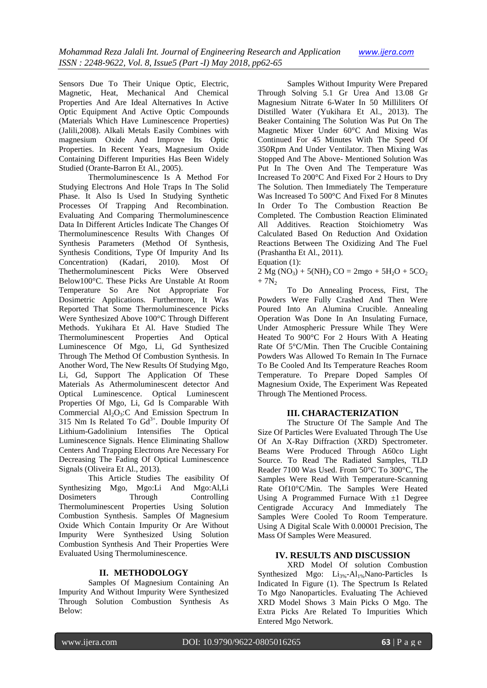Sensors Due To Their Unique Optic, Electric, Magnetic, Heat, Mechanical And Chemical Properties And Are Ideal Alternatives In Active Optic Equipment And Active Optic Compounds (Materials Which Have Luminescence Properties) (Jalili,2008). Alkali Metals Easily Combines with magnesium Oxide And Improve Its Optic Properties. In Recent Years, Magnesium Oxide Containing Different Impurities Has Been Widely Studied (Orante-Barron Et Al., 2005).

Thermoluminescence Is A Method For Studying Electrons And Hole Traps In The Solid Phase. It Also Is Used In Studying Synthetic Processes Of Trapping And Recombination. Evaluating And Comparing Thermoluminescence Data In Different Articles Indicate The Changes Of Thermoluminescence Results With Changes Of Synthesis Parameters (Method Of Synthesis, Synthesis Conditions, Type Of Impurity And Its Concentration) (Kadari, 2010). Most Of Thethermoluminescent Picks Were Observed Below100°C. These Picks Are Unstable At Room Temperature So Are Not Appropriate For Dosimetric Applications. Furthermore, It Was Reported That Some Thermoluminescence Picks Were Synthesized Above 100°C Through Different Methods. Yukihara Et Al. Have Studied The Thermoluminescent Properties And Optical Luminescence Of Mgo, Li, Gd Synthesized Through The Method Of Combustion Synthesis. In Another Word, The New Results Of Studying Mgo, Li, Gd, Support The Application Of These Materials As Athermoluminescent detector And Optical Luminescence. Optical Luminescent Properties Of Mgo, Li, Gd Is Comparable With Commercial  $Al_2O_3$ : C And Emission Spectrum In 315 Nm Is Related To  $Gd^{3+}$ . Double Impurity Of Lithium-Gadolinium Intensifies The Optical Luminescence Signals. Hence Eliminating Shallow Centers And Trapping Electrons Are Necessary For Decreasing The Fading Of Optical Luminescence Signals (Oliveira Et Al., 2013).

This Article Studies The easibility Of Synthesizing Mgo, Mgo:Li And Mgo:Al,Li Dosimeters Through Controlling Thermoluminescent Properties Using Solution Combustion Synthesis. Samples Of Magnesium Oxide Which Contain Impurity Or Are Without Impurity Were Synthesized Using Solution Combustion Synthesis And Their Properties Were Evaluated Using Thermoluminescence.

# **II. METHODOLOGY**

Samples Of Magnesium Containing An Impurity And Without Impurity Were Synthesized Through Solution Combustion Synthesis As Below:

Samples Without Impurity Were Prepared Through Solving 5.1 Gr Urea And 13.08 Gr Magnesium Nitrate 6-Water In 50 Milliliters Of Distilled Water (Yukihara Et Al., 2013). The Beaker Containing The Solution Was Put On The Magnetic Mixer Under 60°C And Mixing Was Continued For 45 Minutes With The Speed Of 350Rpm And Under Ventilator. Then Mixing Was Stopped And The Above- Mentioned Solution Was Put In The Oven And The Temperature Was Increased To 200°C And Fixed For 2 Hours to Dry The Solution. Then Immediately The Temperature Was Increased To 500°C And Fixed For 8 Minutes In Order To The Combustion Reaction Be Completed. The Combustion Reaction Eliminated All Additives. Reaction Stoichiometry Was Calculated Based On Reduction And Oxidation Reactions Between The Oxidizing And The Fuel (Prashantha Et Al., 2011). Equation (1):

 $2 \text{ Mg } (NO_3) + 5(NH)_2 \text{ CO} = 2 \text{ mgo} + 5H_2\text{O} + 5CO_2$  $+ 7N_2$ 

To Do Annealing Process, First, The Powders Were Fully Crashed And Then Were Poured Into An Alumina Crucible. Annealing Operation Was Done In An Insulating Furnace, Under Atmospheric Pressure While They Were Heated To 900°C For 2 Hours With A Heating Rate Of 5°C/Min. Then The Crucible Containing Powders Was Allowed To Remain In The Furnace To Be Cooled And Its Temperature Reaches Room Temperature. To Prepare Doped Samples Of Magnesium Oxide, The Experiment Was Repeated Through The Mentioned Process.

## **III. CHARACTERIZATION**

The Structure Of The Sample And The Size Of Particles Were Evaluated Through The Use Of An X-Ray Diffraction (XRD) Spectrometer. Beams Were Produced Through A60co Light Source. To Read The Radiated Samples, TLD Reader 7100 Was Used. From 50°C To 300°C, The Samples Were Read With Temperature-Scanning Rate Of10°C/Min. The Samples Were Heated Using A Programmed Furnace With  $\pm 1$  Degree Centigrade Accuracy And Immediately The Samples Were Cooled To Room Temperature. Using A Digital Scale With 0.00001 Precision, The Mass Of Samples Were Measured.

## **IV. RESULTS AND DISCUSSION**

XRD Model Of solution Combustion Synthesized Mgo: Li3%-Al1%Nano-Particles Is Indicated In Figure (1). The Spectrum Is Related To Mgo Nanoparticles. Evaluating The Achieved XRD Model Shows 3 Main Picks O Mgo. The Extra Picks Are Related To Impurities Which Entered Mgo Network.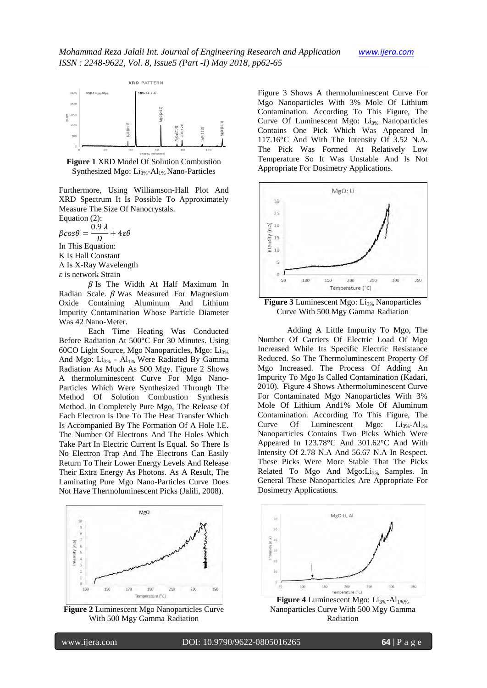

**Figure 1** XRD Model Of Solution Combustion Synthesized Mgo:  $Li_{3\%}$ -Al<sub>1%</sub> Nano-Particles

Furthermore, Using Williamson-Hall Plot And XRD Spectrum It Is Possible To Approximately Measure The Size Of Nanocrystals.

Equation (2):  $\beta cos\theta = \frac{0}{\alpha}$ 

D  $\frac{1}{2} + 4\varepsilon\theta$ In This Equation:

K Is Hall Constant

Λ Is X-Ray Wavelength

 $\varepsilon$  is network Strain

 $\beta$  Is The Width At Half Maximum In Radian Scale.  $\beta$  Was Measured For Magnesium Oxide Containing Aluminum And Lithium Impurity Contamination Whose Particle Diameter Was 42 Nano-Meter.

Each Time Heating Was Conducted Before Radiation At 500°C For 30 Minutes. Using 60CO Light Source, Mgo Nanoparticles, Mgo: Li3% And Mgo:  $Li_{3\%}$  -  $Al_{1\%}$  Were Radiated By Gamma Radiation As Much As 500 Mgy. Figure 2 Shows A thermoluminescent Curve For Mgo Nano-Particles Which Were Synthesized Through The Method Of Solution Combustion Synthesis Method. In Completely Pure Mgo, The Release Of Each Electron Is Due To The Heat Transfer Which Is Accompanied By The Formation Of A Hole I.E. The Number Of Electrons And The Holes Which Take Part In Electric Current Is Equal. So There Is No Electron Trap And The Electrons Can Easily Return To Their Lower Energy Levels And Release Their Extra Energy As Photons. As A Result, The Laminating Pure Mgo Nano-Particles Curve Does Not Have Thermoluminescent Picks (Jalili, 2008).



**Figure 2** Luminescent Mgo Nanoparticles Curve With 500 Mgy Gamma Radiation

Figure 3 Shows A thermoluminescent Curve For Mgo Nanoparticles With 3% Mole Of Lithium Contamination. According To This Figure, The Curve Of Luminescent Mgo: Li3% Nanoparticles Contains One Pick Which Was Appeared In 117.16°C And With The Intensity Of 3.52 N.A. The Pick Was Formed At Relatively Low Temperature So It Was Unstable And Is Not Appropriate For Dosimetry Applications.



**Figure 3** Luminescent Mgo: Li<sub>3%</sub> Nanoparticles Curve With 500 Mgy Gamma Radiation

Adding A Little Impurity To Mgo, The Number Of Carriers Of Electric Load Of Mgo Increased While Its Specific Electric Resistance Reduced. So The Thermoluminescent Property Of Mgo Increased. The Process Of Adding An Impurity To Mgo Is Called Contamination (Kadari, 2010). Figure 4 Shows Athermoluminescent Curve For Contaminated Mgo Nanoparticles With 3% Mole Of Lithium And1% Mole Of Aluminum Contamination. According To This Figure, The Curve Of Luminescent Mgo:  $Li_{3\%}$ -Al<sub>1%</sub> Nanoparticles Contains Two Picks Which Were Appeared In 123.78°C And 301.62°C And With Intensity Of 2.78 N.A And 56.67 N.A In Respect. These Picks Were More Stable That The Picks Related To Mgo And Mgo:Li<sub>3%</sub> Samples. In General These Nanoparticles Are Appropriate For Dosimetry Applications.



**Figure 4** Luminescent Mgo: Li<sub>3%</sub>-Al<sub>1%%</sub> Nanoparticles Curve With 500 Mgy Gamma Radiation